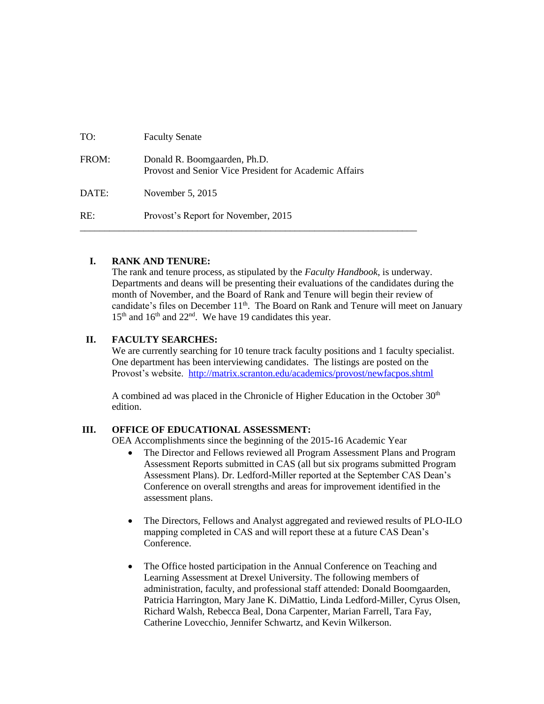| TO:   | <b>Faculty Senate</b>                                                                  |
|-------|----------------------------------------------------------------------------------------|
| FROM: | Donald R. Boomgaarden, Ph.D.<br>Provost and Senior Vice President for Academic Affairs |
| DATE: | November 5, 2015                                                                       |
| RE:   | Provost's Report for November, 2015                                                    |

# **I. RANK AND TENURE:**

The rank and tenure process, as stipulated by the *Faculty Handbook*, is underway. Departments and deans will be presenting their evaluations of the candidates during the month of November, and the Board of Rank and Tenure will begin their review of candidate's files on December 11<sup>th</sup>. The Board on Rank and Tenure will meet on January 15<sup>th</sup> and 16<sup>th</sup> and 22<sup>nd</sup>. We have 19 candidates this year.

# **II. FACULTY SEARCHES:**

We are currently searching for 10 tenure track faculty positions and 1 faculty specialist. One department has been interviewing candidates. The listings are posted on the Provost's website. <http://matrix.scranton.edu/academics/provost/newfacpos.shtml>

A combined ad was placed in the Chronicle of Higher Education in the October  $30<sup>th</sup>$ edition.

#### **III. OFFICE OF EDUCATIONAL ASSESSMENT:**

OEA Accomplishments since the beginning of the 2015-16 Academic Year

- The Director and Fellows reviewed all Program Assessment Plans and Program Assessment Reports submitted in CAS (all but six programs submitted Program Assessment Plans). Dr. Ledford-Miller reported at the September CAS Dean's Conference on overall strengths and areas for improvement identified in the assessment plans.
- The Directors, Fellows and Analyst aggregated and reviewed results of PLO-ILO mapping completed in CAS and will report these at a future CAS Dean's Conference.
- The Office hosted participation in the Annual Conference on Teaching and Learning Assessment at Drexel University. The following members of administration, faculty, and professional staff attended: Donald Boomgaarden, Patricia Harrington, Mary Jane K. DiMattio, Linda Ledford-Miller, Cyrus Olsen, Richard Walsh, Rebecca Beal, Dona Carpenter, Marian Farrell, Tara Fay, Catherine Lovecchio, Jennifer Schwartz, and Kevin Wilkerson.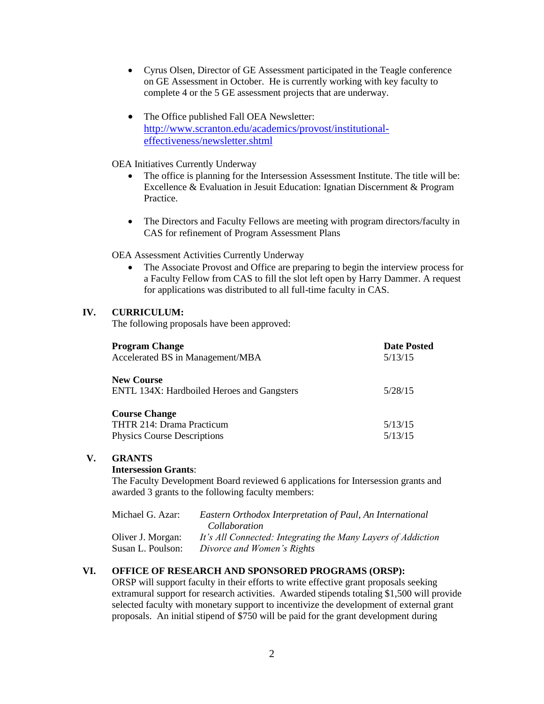- Cyrus Olsen, Director of GE Assessment participated in the Teagle conference on GE Assessment in October. He is currently working with key faculty to complete 4 or the 5 GE assessment projects that are underway.
- The Office published Fall OEA Newsletter: [http://www.scranton.edu/academics/provost/institutional](http://www.scranton.edu/academics/provost/institutional-effectiveness/newsletter.shtml)[effectiveness/newsletter.shtml](http://www.scranton.edu/academics/provost/institutional-effectiveness/newsletter.shtml)
- OEA Initiatives Currently Underway
	- The office is planning for the Intersession Assessment Institute. The title will be: Excellence & Evaluation in Jesuit Education: Ignatian Discernment & Program Practice.
	- The Directors and Faculty Fellows are meeting with program directors/faculty in CAS for refinement of Program Assessment Plans

OEA Assessment Activities Currently Underway

 The Associate Provost and Office are preparing to begin the interview process for a Faculty Fellow from CAS to fill the slot left open by Harry Dammer. A request for applications was distributed to all full-time faculty in CAS.

# **IV. CURRICULUM:**

The following proposals have been approved:

| <b>Program Change</b><br>Accelerated BS in Management/MBA                               | <b>Date Posted</b><br>5/13/15 |
|-----------------------------------------------------------------------------------------|-------------------------------|
| <b>New Course</b><br>ENTL 134X: Hardboiled Heroes and Gangsters                         | 5/28/15                       |
| <b>Course Change</b><br>THTR 214: Drama Practicum<br><b>Physics Course Descriptions</b> | 5/13/15<br>5/13/15            |

# **V. GRANTS**

# **Intersession Grants**:

The Faculty Development Board reviewed 6 applications for Intersession grants and awarded 3 grants to the following faculty members:

| Michael G. Azar:  | Eastern Orthodox Interpretation of Paul, An International    |
|-------------------|--------------------------------------------------------------|
|                   | Collaboration                                                |
| Oliver J. Morgan: | It's All Connected: Integrating the Many Layers of Addiction |
| Susan L. Poulson: | Divorce and Women's Rights                                   |

# **VI. OFFICE OF RESEARCH AND SPONSORED PROGRAMS (ORSP):**

ORSP will support faculty in their efforts to write effective grant proposals seeking extramural support for research activities. Awarded stipends totaling \$1,500 will provide selected faculty with monetary support to incentivize the development of external grant proposals. An initial stipend of \$750 will be paid for the grant development during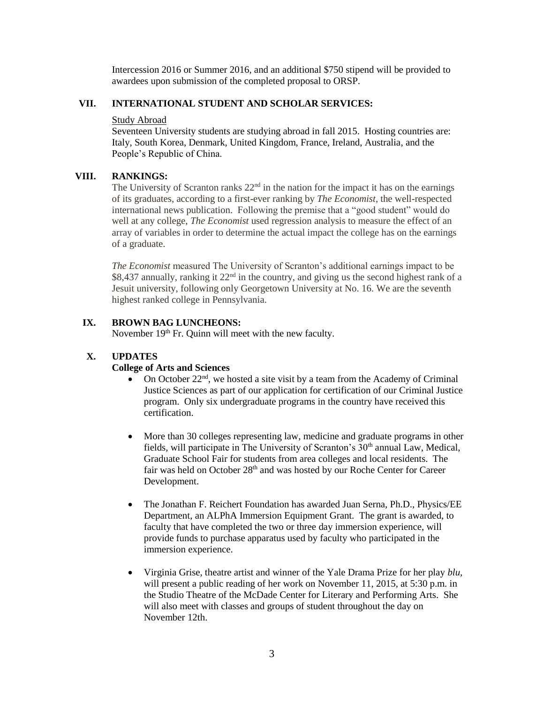Intercession 2016 or Summer 2016, and an additional \$750 stipend will be provided to awardees upon submission of the completed proposal to ORSP.

## **VII. INTERNATIONAL STUDENT AND SCHOLAR SERVICES:**

#### Study Abroad

Seventeen University students are studying abroad in fall 2015. Hosting countries are: Italy, South Korea, Denmark, United Kingdom, France, Ireland, Australia, and the People's Republic of China.

## **VIII. RANKINGS:**

The University of Scranton ranks  $22<sup>nd</sup>$  in the nation for the impact it has on the earnings of its graduates, according to a first-ever ranking by *The Economist*, the well-respected international news publication. Following the premise that a "good student" would do well at any college, *The Economist* used regression analysis to measure the effect of an array of variables in order to determine the actual impact the college has on the earnings of a graduate.

*The Economist* measured The University of Scranton's additional earnings impact to be \$8,437 annually, ranking it  $22<sup>nd</sup>$  in the country, and giving us the second highest rank of a Jesuit university, following only Georgetown University at No. 16. We are the seventh highest ranked college in Pennsylvania.

## **IX. BROWN BAG LUNCHEONS:**

November 19<sup>th</sup> Fr. Quinn will meet with the new faculty.

# **X. UPDATES**

#### **College of Arts and Sciences**

- On October  $22<sup>nd</sup>$ , we hosted a site visit by a team from the Academy of Criminal Justice Sciences as part of our application for certification of our Criminal Justice program. Only six undergraduate programs in the country have received this certification.
- More than 30 colleges representing law, medicine and graduate programs in other fields, will participate in The University of Scranton's 30<sup>th</sup> annual Law, Medical, Graduate School Fair for students from area colleges and local residents. The fair was held on October 28<sup>th</sup> and was hosted by our Roche Center for Career Development.
- The Jonathan F. Reichert Foundation has awarded Juan Serna, Ph.D., Physics/EE Department, an ALPhA Immersion Equipment Grant. The grant is awarded, to faculty that have completed the two or three day immersion experience, will provide funds to purchase apparatus used by faculty who participated in the immersion experience.
- Virginia Grise, theatre artist and winner of the Yale Drama Prize for her play *blu,* will present a public reading of her work on November 11, 2015, at 5:30 p.m. in the Studio Theatre of the McDade Center for Literary and Performing Arts. She will also meet with classes and groups of student throughout the day on November 12th.